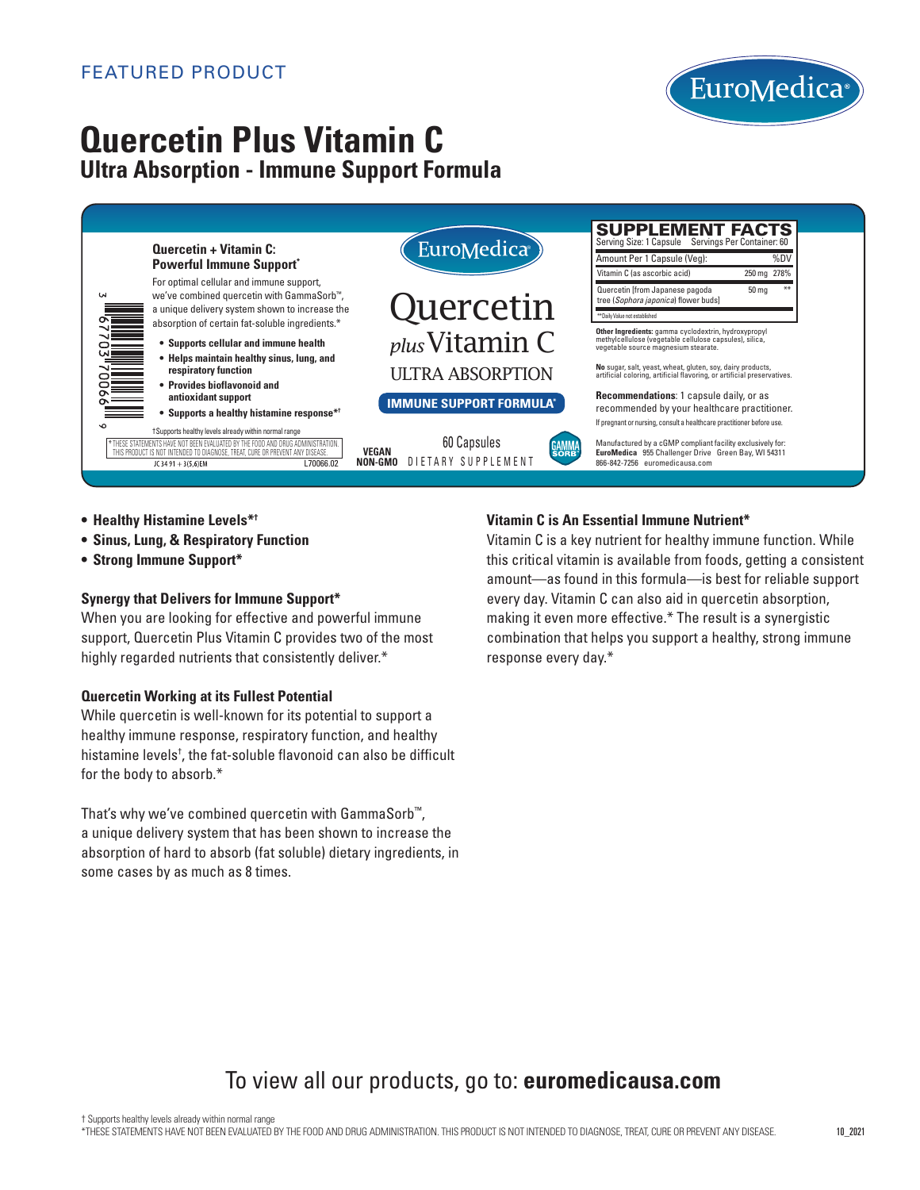

# **Quercetin Plus Vitamin C Ultra Absorption - Immune Support Formula**



- **• Healthy Histamine Levels\*†**
- **• Sinus, Lung, & Respiratory Function**
- **• Strong Immune Support\***

#### **Synergy that Delivers for Immune Support\***

When you are looking for effective and powerful immune support, Quercetin Plus Vitamin C provides two of the most highly regarded nutrients that consistently deliver.\*

#### **Quercetin Working at its Fullest Potential**

While quercetin is well-known for its potential to support a healthy immune response, respiratory function, and healthy histamine levels† , the fat-soluble flavonoid can also be difficult for the body to absorb.\*

That's why we've combined quercetin with GammaSorb™, a unique delivery system that has been shown to increase the absorption of hard to absorb (fat soluble) dietary ingredients, in some cases by as much as 8 times.

## Vitamin C is An Essential Immune Nutrient\*

Vitamin C is a key nutrient for healthy immune function. While this critical vitamin is available from foods, getting a consistent amount—as found in this formula—is best for reliable support every day. Vitamin C can also aid in quercetin absorption, making it even more effective.\* The result is a synergistic combination that helps you support a healthy, strong immune response every day.\*

# To view all our products, go to: **euromedicausa.com**